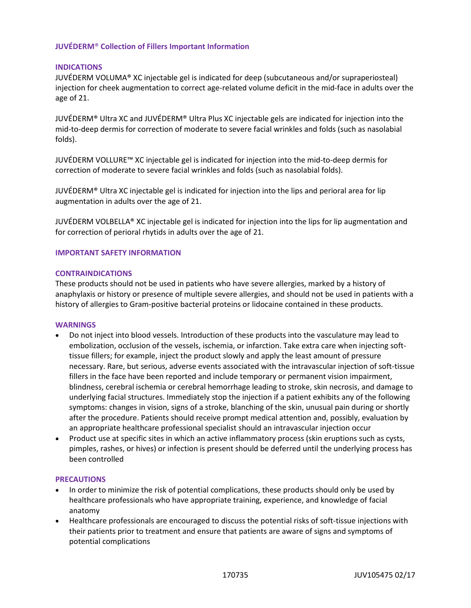# **JUVÉDERM**® **Collection of Fillers Important Information**

### **INDICATIONS**

JUVÉDERM VOLUMA® XC injectable gel is indicated for deep (subcutaneous and/or supraperiosteal) injection for cheek augmentation to correct age-related volume deficit in the mid-face in adults over the age of 21.

JUVÉDERM® Ultra XC and JUVÉDERM® Ultra Plus XC injectable gels are indicated for injection into the mid-to-deep dermis for correction of moderate to severe facial wrinkles and folds (such as nasolabial folds).

JUVÉDERM VOLLURE™ XC injectable gel is indicated for injection into the mid-to-deep dermis for correction of moderate to severe facial wrinkles and folds (such as nasolabial folds).

JUVÉDERM® Ultra XC injectable gel is indicated for injection into the lips and perioral area for lip augmentation in adults over the age of 21.

JUVÉDERM VOLBELLA® XC injectable gel is indicated for injection into the lips for lip augmentation and for correction of perioral rhytids in adults over the age of 21.

### **IMPORTANT SAFETY INFORMATION**

#### **CONTRAINDICATIONS**

These products should not be used in patients who have severe allergies, marked by a history of anaphylaxis or history or presence of multiple severe allergies, and should not be used in patients with a history of allergies to Gram-positive bacterial proteins or lidocaine contained in these products.

#### **WARNINGS**

- Do not inject into blood vessels. Introduction of these products into the vasculature may lead to embolization, occlusion of the vessels, ischemia, or infarction. Take extra care when injecting softtissue fillers; for example, inject the product slowly and apply the least amount of pressure necessary. Rare, but serious, adverse events associated with the intravascular injection of soft-tissue fillers in the face have been reported and include temporary or permanent vision impairment, blindness, cerebral ischemia or cerebral hemorrhage leading to stroke, skin necrosis, and damage to underlying facial structures. Immediately stop the injection if a patient exhibits any of the following symptoms: changes in vision, signs of a stroke, blanching of the skin, unusual pain during or shortly after the procedure. Patients should receive prompt medical attention and, possibly, evaluation by an appropriate healthcare professional specialist should an intravascular injection occur
- Product use at specific sites in which an active inflammatory process (skin eruptions such as cysts, pimples, rashes, or hives) or infection is present should be deferred until the underlying process has been controlled

#### **PRECAUTIONS**

- In order to minimize the risk of potential complications, these products should only be used by healthcare professionals who have appropriate training, experience, and knowledge of facial anatomy
- Healthcare professionals are encouraged to discuss the potential risks of soft-tissue injections with their patients prior to treatment and ensure that patients are aware of signs and symptoms of potential complications